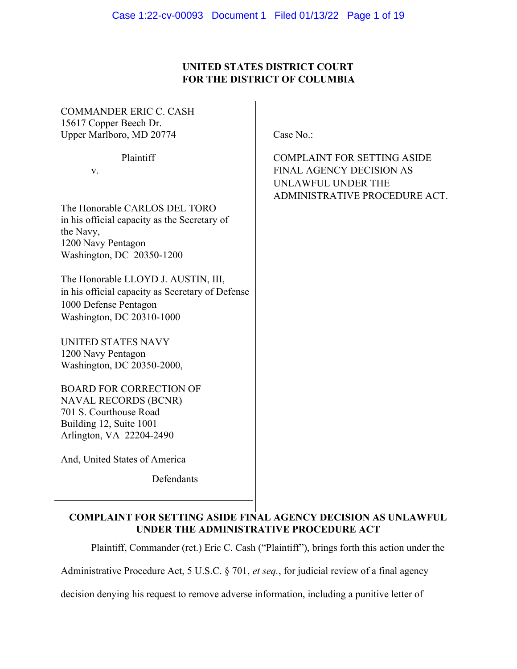# UNITED STATES DISTRICT COURT FOR THE DISTRICT OF COLUMBIA

COMMANDER ERIC C. CASH 15617 Copper Beech Dr. Upper Marlboro, MD 20774 Case No.:

The Honorable CARLOS DEL TORO in his official capacity as the Secretary of the Navy, 1200 Navy Pentagon Washington, DC 20350-1200

The Honorable LLOYD J. AUSTIN, III, in his official capacity as Secretary of Defense 1000 Defense Pentagon Washington, DC 20310-1000

UNITED STATES NAVY 1200 Navy Pentagon Washington, DC 20350-2000,

BOARD FOR CORRECTION OF NAVAL RECORDS (BCNR) 701 S. Courthouse Road Building 12, Suite 1001 Arlington, VA 22204-2490

And, United States of America

 $\overline{a}$ 

Defendants

COMPLAINT FOR SETTING ASIDE FINAL AGENCY DECISION AS UNLAWFUL UNDER THE ADMINISTRATIVE PROCEDURE ACT

Plaintiff, Commander (ret.) Eric C. Cash ("Plaintiff"), brings forth this action under the

Administrative Procedure Act, 5 U.S.C. § 701, et seq., for judicial review of a final agency

decision denying his request to remove adverse information, including a punitive letter of

Plaintiff COMPLAINT FOR SETTING ASIDE v. FINAL AGENCY DECISION AS UNLAWFUL UNDER THE ADMINISTRATIVE PROCEDURE ACT.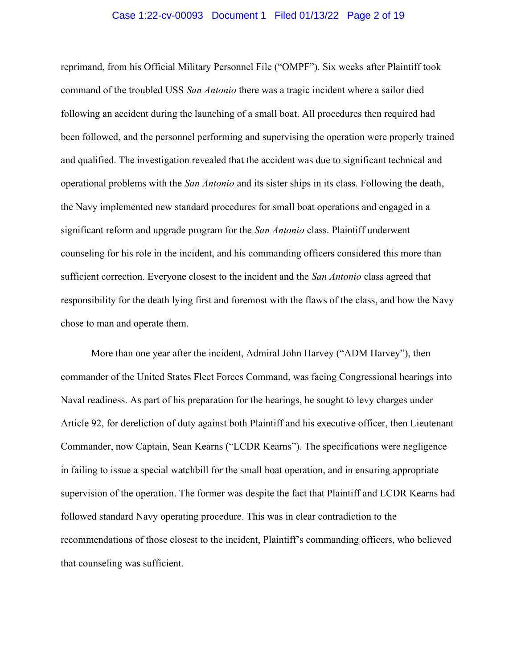#### Case 1:22-cv-00093 Document 1 Filed 01/13/22 Page 2 of 19

reprimand, from his Official Military Personnel File ("OMPF"). Six weeks after Plaintiff took command of the troubled USS San Antonio there was a tragic incident where a sailor died following an accident during the launching of a small boat. All procedures then required had been followed, and the personnel performing and supervising the operation were properly trained and qualified. The investigation revealed that the accident was due to significant technical and operational problems with the San Antonio and its sister ships in its class. Following the death, the Navy implemented new standard procedures for small boat operations and engaged in a significant reform and upgrade program for the San Antonio class. Plaintiff underwent counseling for his role in the incident, and his commanding officers considered this more than sufficient correction. Everyone closest to the incident and the San Antonio class agreed that responsibility for the death lying first and foremost with the flaws of the class, and how the Navy chose to man and operate them.

More than one year after the incident, Admiral John Harvey ("ADM Harvey"), then commander of the United States Fleet Forces Command, was facing Congressional hearings into Naval readiness. As part of his preparation for the hearings, he sought to levy charges under Article 92, for dereliction of duty against both Plaintiff and his executive officer, then Lieutenant Commander, now Captain, Sean Kearns ("LCDR Kearns"). The specifications were negligence in failing to issue a special watchbill for the small boat operation, and in ensuring appropriate supervision of the operation. The former was despite the fact that Plaintiff and LCDR Kearns had followed standard Navy operating procedure. This was in clear contradiction to the recommendations of those closest to the incident, Plaintiff's commanding officers, who believed that counseling was sufficient.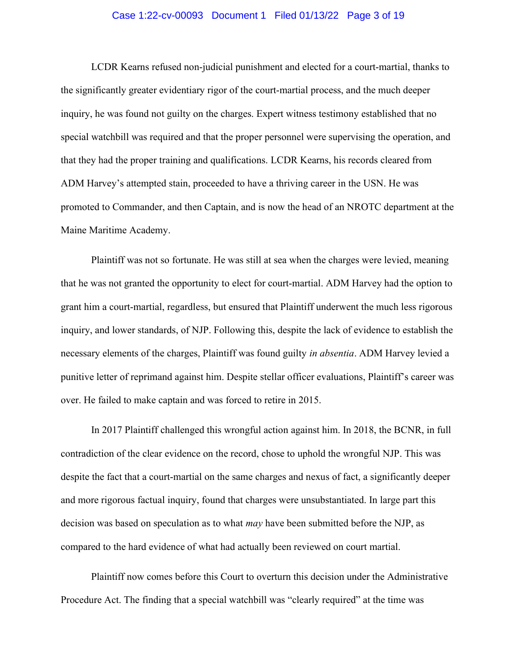#### Case 1:22-cv-00093 Document 1 Filed 01/13/22 Page 3 of 19

LCDR Kearns refused non-judicial punishment and elected for a court-martial, thanks to the significantly greater evidentiary rigor of the court-martial process, and the much deeper inquiry, he was found not guilty on the charges. Expert witness testimony established that no special watchbill was required and that the proper personnel were supervising the operation, and that they had the proper training and qualifications. LCDR Kearns, his records cleared from ADM Harvey's attempted stain, proceeded to have a thriving career in the USN. He was promoted to Commander, and then Captain, and is now the head of an NROTC department at the Maine Maritime Academy.

Plaintiff was not so fortunate. He was still at sea when the charges were levied, meaning that he was not granted the opportunity to elect for court-martial. ADM Harvey had the option to grant him a court-martial, regardless, but ensured that Plaintiff underwent the much less rigorous inquiry, and lower standards, of NJP. Following this, despite the lack of evidence to establish the necessary elements of the charges, Plaintiff was found guilty in absentia. ADM Harvey levied a punitive letter of reprimand against him. Despite stellar officer evaluations, Plaintiff's career was over. He failed to make captain and was forced to retire in 2015.

In 2017 Plaintiff challenged this wrongful action against him. In 2018, the BCNR, in full contradiction of the clear evidence on the record, chose to uphold the wrongful NJP. This was despite the fact that a court-martial on the same charges and nexus of fact, a significantly deeper and more rigorous factual inquiry, found that charges were unsubstantiated. In large part this decision was based on speculation as to what *may* have been submitted before the NJP, as compared to the hard evidence of what had actually been reviewed on court martial.

Plaintiff now comes before this Court to overturn this decision under the Administrative Procedure Act. The finding that a special watchbill was "clearly required" at the time was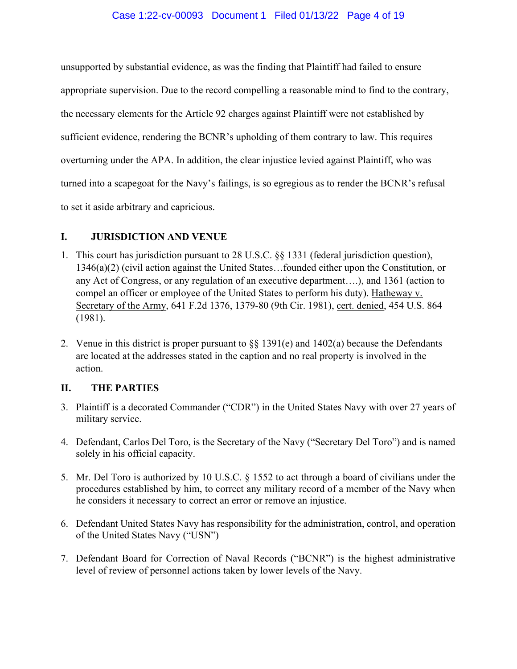#### Case 1:22-cv-00093 Document 1 Filed 01/13/22 Page 4 of 19

unsupported by substantial evidence, as was the finding that Plaintiff had failed to ensure appropriate supervision. Due to the record compelling a reasonable mind to find to the contrary, the necessary elements for the Article 92 charges against Plaintiff were not established by sufficient evidence, rendering the BCNR's upholding of them contrary to law. This requires overturning under the APA. In addition, the clear injustice levied against Plaintiff, who was turned into a scapegoat for the Navy's failings, is so egregious as to render the BCNR's refusal to set it aside arbitrary and capricious.

### I. JURISDICTION AND VENUE

- 1. This court has jurisdiction pursuant to 28 U.S.C. §§ 1331 (federal jurisdiction question), 1346(a)(2) (civil action against the United States…founded either upon the Constitution, or any Act of Congress, or any regulation of an executive department….), and 1361 (action to compel an officer or employee of the United States to perform his duty). Hatheway v. Secretary of the Army, 641 F.2d 1376, 1379-80 (9th Cir. 1981), cert. denied, 454 U.S. 864 (1981).
- 2. Venue in this district is proper pursuant to  $\S\S 1391(e)$  and  $1402(a)$  because the Defendants are located at the addresses stated in the caption and no real property is involved in the action.

### II. THE PARTIES

- 3. Plaintiff is a decorated Commander ("CDR") in the United States Navy with over 27 years of military service.
- 4. Defendant, Carlos Del Toro, is the Secretary of the Navy ("Secretary Del Toro") and is named solely in his official capacity.
- 5. Mr. Del Toro is authorized by 10 U.S.C. § 1552 to act through a board of civilians under the procedures established by him, to correct any military record of a member of the Navy when he considers it necessary to correct an error or remove an injustice.
- 6. Defendant United States Navy has responsibility for the administration, control, and operation of the United States Navy ("USN")
- 7. Defendant Board for Correction of Naval Records ("BCNR") is the highest administrative level of review of personnel actions taken by lower levels of the Navy.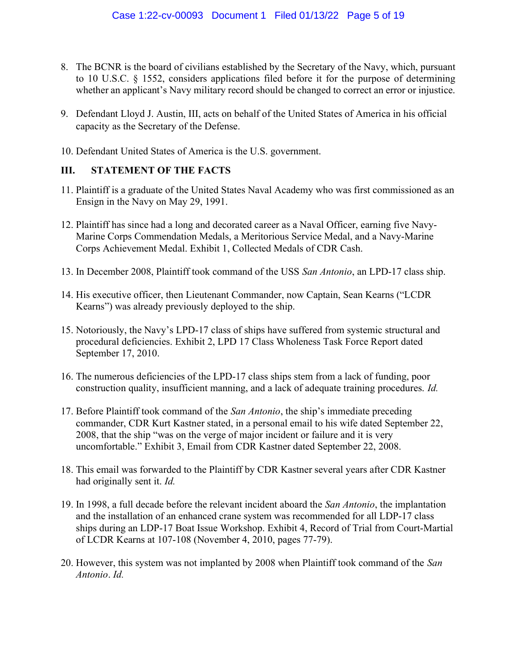- 8. The BCNR is the board of civilians established by the Secretary of the Navy, which, pursuant to 10 U.S.C. § 1552, considers applications filed before it for the purpose of determining whether an applicant's Navy military record should be changed to correct an error or injustice.
- 9. Defendant Lloyd J. Austin, III, acts on behalf of the United States of America in his official capacity as the Secretary of the Defense.
- 10. Defendant United States of America is the U.S. government.

### III. STATEMENT OF THE FACTS

- 11. Plaintiff is a graduate of the United States Naval Academy who was first commissioned as an Ensign in the Navy on May 29, 1991.
- 12. Plaintiff has since had a long and decorated career as a Naval Officer, earning five Navy-Marine Corps Commendation Medals, a Meritorious Service Medal, and a Navy-Marine Corps Achievement Medal. Exhibit 1, Collected Medals of CDR Cash.
- 13. In December 2008, Plaintiff took command of the USS San Antonio, an LPD-17 class ship.
- 14. His executive officer, then Lieutenant Commander, now Captain, Sean Kearns ("LCDR Kearns") was already previously deployed to the ship.
- 15. Notoriously, the Navy's LPD-17 class of ships have suffered from systemic structural and procedural deficiencies. Exhibit 2, LPD 17 Class Wholeness Task Force Report dated September 17, 2010.
- 16. The numerous deficiencies of the LPD-17 class ships stem from a lack of funding, poor construction quality, insufficient manning, and a lack of adequate training procedures. Id.
- 17. Before Plaintiff took command of the San Antonio, the ship's immediate preceding commander, CDR Kurt Kastner stated, in a personal email to his wife dated September 22, 2008, that the ship "was on the verge of major incident or failure and it is very uncomfortable." Exhibit 3, Email from CDR Kastner dated September 22, 2008.
- 18. This email was forwarded to the Plaintiff by CDR Kastner several years after CDR Kastner had originally sent it. Id.
- 19. In 1998, a full decade before the relevant incident aboard the San Antonio, the implantation and the installation of an enhanced crane system was recommended for all LDP-17 class ships during an LDP-17 Boat Issue Workshop. Exhibit 4, Record of Trial from Court-Martial of LCDR Kearns at 107-108 (November 4, 2010, pages 77-79).
- 20. However, this system was not implanted by 2008 when Plaintiff took command of the San Antonio. Id.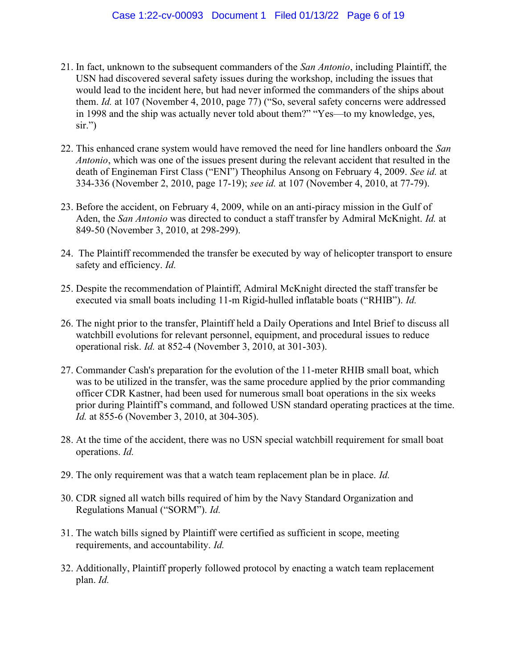- 21. In fact, unknown to the subsequent commanders of the San Antonio, including Plaintiff, the USN had discovered several safety issues during the workshop, including the issues that would lead to the incident here, but had never informed the commanders of the ships about them. Id. at 107 (November 4, 2010, page 77) ("So, several safety concerns were addressed in 1998 and the ship was actually never told about them?" "Yes—to my knowledge, yes, sir.")
- 22. This enhanced crane system would have removed the need for line handlers onboard the San Antonio, which was one of the issues present during the relevant accident that resulted in the death of Engineman First Class ("ENI") Theophilus Ansong on February 4, 2009. See id. at 334-336 (November 2, 2010, page 17-19); see id. at 107 (November 4, 2010, at 77-79).
- 23. Before the accident, on February 4, 2009, while on an anti-piracy mission in the Gulf of Aden, the San Antonio was directed to conduct a staff transfer by Admiral McKnight. Id. at 849-50 (November 3, 2010, at 298-299).
- 24. The Plaintiff recommended the transfer be executed by way of helicopter transport to ensure safety and efficiency. *Id.*
- 25. Despite the recommendation of Plaintiff, Admiral McKnight directed the staff transfer be executed via small boats including 11-m Rigid-hulled inflatable boats ("RHIB"). Id.
- 26. The night prior to the transfer, Plaintiff held a Daily Operations and Intel Brief to discuss all watchbill evolutions for relevant personnel, equipment, and procedural issues to reduce operational risk. Id. at 852-4 (November 3, 2010, at 301-303).
- 27. Commander Cash's preparation for the evolution of the 11-meter RHIB small boat, which was to be utilized in the transfer, was the same procedure applied by the prior commanding officer CDR Kastner, had been used for numerous small boat operations in the six weeks prior during Plaintiff's command, and followed USN standard operating practices at the time. Id. at 855-6 (November 3, 2010, at 304-305).
- 28. At the time of the accident, there was no USN special watchbill requirement for small boat operations. Id.
- 29. The only requirement was that a watch team replacement plan be in place. Id.
- 30. CDR signed all watch bills required of him by the Navy Standard Organization and Regulations Manual ("SORM"). Id.
- 31. The watch bills signed by Plaintiff were certified as sufficient in scope, meeting requirements, and accountability. Id.
- 32. Additionally, Plaintiff properly followed protocol by enacting a watch team replacement plan. Id.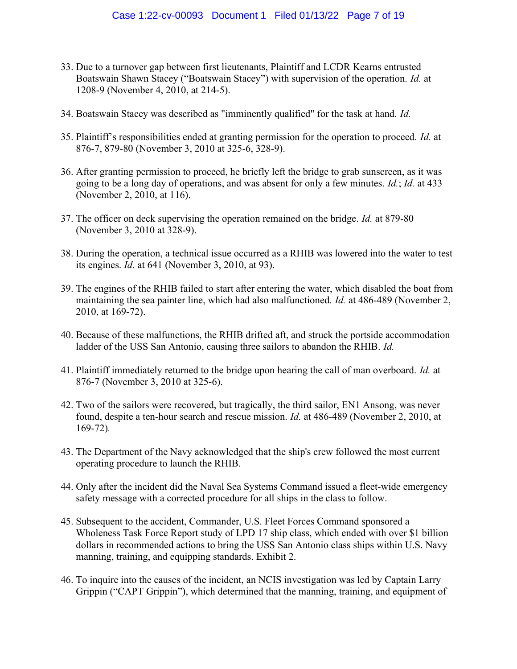- 33. Due to a turnover gap between first lieutenants, Plaintiff and LCDR Kearns entrusted Boatswain Shawn Stacey ("Boatswain Stacey") with supervision of the operation. Id. at 1208-9 (November 4, 2010, at 214-5).
- 34. Boatswain Stacey was described as "imminently qualified" for the task at hand. Id.
- 35. Plaintiff's responsibilities ended at granting permission for the operation to proceed. Id. at 876-7, 879-80 (November 3, 2010 at 325-6, 328-9).
- 36. After granting permission to proceed, he briefly left the bridge to grab sunscreen, as it was going to be a long day of operations, and was absent for only a few minutes. *Id.*; *Id.* at 433 (November 2, 2010, at 116).
- 37. The officer on deck supervising the operation remained on the bridge. Id. at 879-80 (November 3, 2010 at 328-9).
- 38. During the operation, a technical issue occurred as a RHIB was lowered into the water to test its engines. Id. at 641 (November 3, 2010, at 93).
- 39. The engines of the RHIB failed to start after entering the water, which disabled the boat from maintaining the sea painter line, which had also malfunctioned. *Id.* at 486-489 (November 2, 2010, at 169-72).
- 40. Because of these malfunctions, the RHIB drifted aft, and struck the portside accommodation ladder of the USS San Antonio, causing three sailors to abandon the RHIB. *Id.*
- 41. Plaintiff immediately returned to the bridge upon hearing the call of man overboard. Id. at 876-7 (November 3, 2010 at 325-6).
- 42. Two of the sailors were recovered, but tragically, the third sailor, EN1 Ansong, was never found, despite a ten-hour search and rescue mission. Id. at 486-489 (November 2, 2010, at 169-72).
- 43. The Department of the Navy acknowledged that the ship's crew followed the most current operating procedure to launch the RHIB.
- 44. Only after the incident did the Naval Sea Systems Command issued a fleet-wide emergency safety message with a corrected procedure for all ships in the class to follow.
- 45. Subsequent to the accident, Commander, U.S. Fleet Forces Command sponsored a Wholeness Task Force Report study of LPD 17 ship class, which ended with over \$1 billion dollars in recommended actions to bring the USS San Antonio class ships within U.S. Navy manning, training, and equipping standards. Exhibit 2.
- 46. To inquire into the causes of the incident, an NCIS investigation was led by Captain Larry Grippin ("CAPT Grippin"), which determined that the manning, training, and equipment of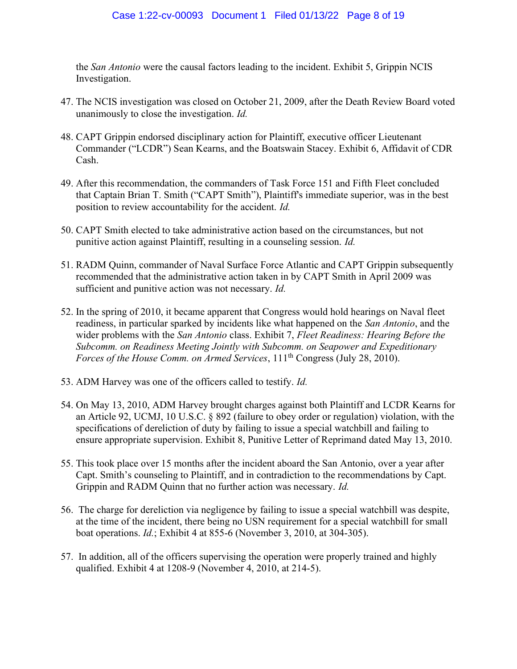the *San Antonio* were the causal factors leading to the incident. Exhibit 5, Grippin NCIS Investigation.

- 47. The NCIS investigation was closed on October 21, 2009, after the Death Review Board voted unanimously to close the investigation. Id.
- 48. CAPT Grippin endorsed disciplinary action for Plaintiff, executive officer Lieutenant Commander ("LCDR") Sean Kearns, and the Boatswain Stacey. Exhibit 6, Affidavit of CDR Cash.
- 49. After this recommendation, the commanders of Task Force 151 and Fifth Fleet concluded that Captain Brian T. Smith ("CAPT Smith"), Plaintiff's immediate superior, was in the best position to review accountability for the accident. Id.
- 50. CAPT Smith elected to take administrative action based on the circumstances, but not punitive action against Plaintiff, resulting in a counseling session. Id.
- 51. RADM Quinn, commander of Naval Surface Force Atlantic and CAPT Grippin subsequently recommended that the administrative action taken in by CAPT Smith in April 2009 was sufficient and punitive action was not necessary. Id.
- 52. In the spring of 2010, it became apparent that Congress would hold hearings on Naval fleet readiness, in particular sparked by incidents like what happened on the San Antonio, and the wider problems with the San Antonio class. Exhibit 7, Fleet Readiness: Hearing Before the Subcomm. on Readiness Meeting Jointly with Subcomm. on Seapower and Expeditionary Forces of the House Comm. on Armed Services,  $111<sup>th</sup> Congress (July 28, 2010).$
- 53. ADM Harvey was one of the officers called to testify. Id.
- 54. On May 13, 2010, ADM Harvey brought charges against both Plaintiff and LCDR Kearns for an Article 92, UCMJ, 10 U.S.C. § 892 (failure to obey order or regulation) violation, with the specifications of dereliction of duty by failing to issue a special watchbill and failing to ensure appropriate supervision. Exhibit 8, Punitive Letter of Reprimand dated May 13, 2010.
- 55. This took place over 15 months after the incident aboard the San Antonio, over a year after Capt. Smith's counseling to Plaintiff, and in contradiction to the recommendations by Capt. Grippin and RADM Quinn that no further action was necessary. Id.
- 56. The charge for dereliction via negligence by failing to issue a special watchbill was despite, at the time of the incident, there being no USN requirement for a special watchbill for small boat operations. Id.; Exhibit 4 at 855-6 (November 3, 2010, at 304-305).
- 57. In addition, all of the officers supervising the operation were properly trained and highly qualified. Exhibit 4 at 1208-9 (November 4, 2010, at 214-5).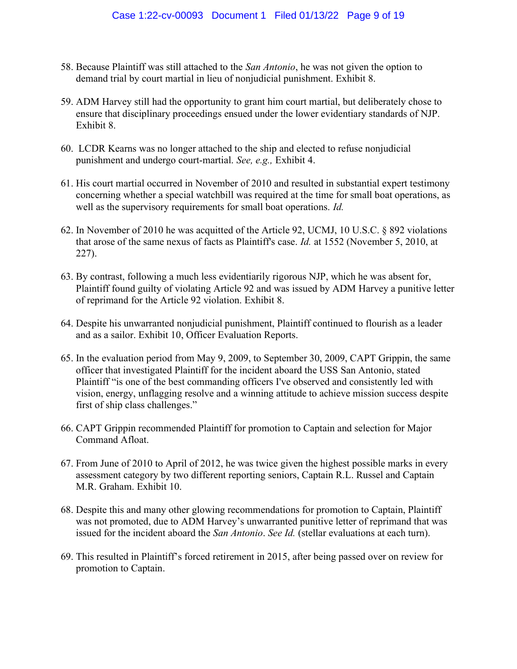- 58. Because Plaintiff was still attached to the San Antonio, he was not given the option to demand trial by court martial in lieu of nonjudicial punishment. Exhibit 8.
- 59. ADM Harvey still had the opportunity to grant him court martial, but deliberately chose to ensure that disciplinary proceedings ensued under the lower evidentiary standards of NJP. Exhibit 8.
- 60. LCDR Kearns was no longer attached to the ship and elected to refuse nonjudicial punishment and undergo court-martial. See, e.g., Exhibit 4.
- 61. His court martial occurred in November of 2010 and resulted in substantial expert testimony concerning whether a special watchbill was required at the time for small boat operations, as well as the supervisory requirements for small boat operations. *Id.*
- 62. In November of 2010 he was acquitted of the Article 92, UCMJ, 10 U.S.C. § 892 violations that arose of the same nexus of facts as Plaintiff's case. Id. at 1552 (November 5, 2010, at 227).
- 63. By contrast, following a much less evidentiarily rigorous NJP, which he was absent for, Plaintiff found guilty of violating Article 92 and was issued by ADM Harvey a punitive letter of reprimand for the Article 92 violation. Exhibit 8.
- 64. Despite his unwarranted nonjudicial punishment, Plaintiff continued to flourish as a leader and as a sailor. Exhibit 10, Officer Evaluation Reports.
- 65. In the evaluation period from May 9, 2009, to September 30, 2009, CAPT Grippin, the same officer that investigated Plaintiff for the incident aboard the USS San Antonio, stated Plaintiff "is one of the best commanding officers I've observed and consistently led with vision, energy, unflagging resolve and a winning attitude to achieve mission success despite first of ship class challenges."
- 66. CAPT Grippin recommended Plaintiff for promotion to Captain and selection for Major Command Afloat.
- 67. From June of 2010 to April of 2012, he was twice given the highest possible marks in every assessment category by two different reporting seniors, Captain R.L. Russel and Captain M.R. Graham. Exhibit 10.
- 68. Despite this and many other glowing recommendations for promotion to Captain, Plaintiff was not promoted, due to ADM Harvey's unwarranted punitive letter of reprimand that was issued for the incident aboard the San Antonio. See Id. (stellar evaluations at each turn).
- 69. This resulted in Plaintiff's forced retirement in 2015, after being passed over on review for promotion to Captain.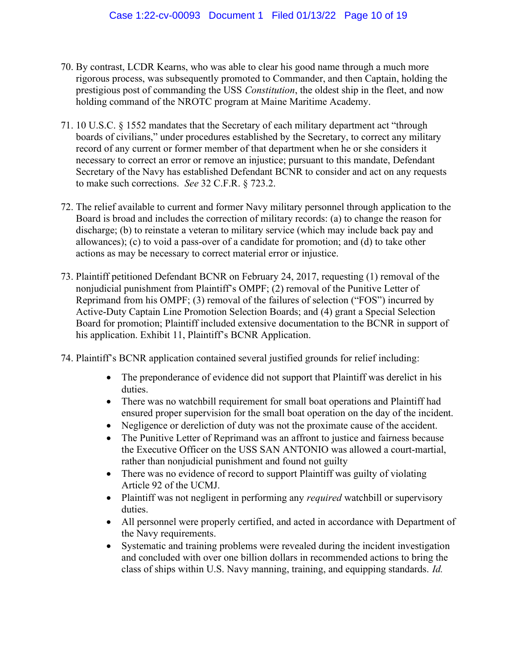- 70. By contrast, LCDR Kearns, who was able to clear his good name through a much more rigorous process, was subsequently promoted to Commander, and then Captain, holding the prestigious post of commanding the USS *Constitution*, the oldest ship in the fleet, and now holding command of the NROTC program at Maine Maritime Academy.
- 71. 10 U.S.C. § 1552 mandates that the Secretary of each military department act "through boards of civilians," under procedures established by the Secretary, to correct any military record of any current or former member of that department when he or she considers it necessary to correct an error or remove an injustice; pursuant to this mandate, Defendant Secretary of the Navy has established Defendant BCNR to consider and act on any requests to make such corrections. See 32 C.F.R. § 723.2.
- 72. The relief available to current and former Navy military personnel through application to the Board is broad and includes the correction of military records: (a) to change the reason for discharge; (b) to reinstate a veteran to military service (which may include back pay and allowances); (c) to void a pass-over of a candidate for promotion; and (d) to take other actions as may be necessary to correct material error or injustice.
- 73. Plaintiff petitioned Defendant BCNR on February 24, 2017, requesting (1) removal of the nonjudicial punishment from Plaintiff's OMPF; (2) removal of the Punitive Letter of Reprimand from his OMPF; (3) removal of the failures of selection ("FOS") incurred by Active-Duty Captain Line Promotion Selection Boards; and (4) grant a Special Selection Board for promotion; Plaintiff included extensive documentation to the BCNR in support of his application. Exhibit 11, Plaintiff's BCNR Application.
- 74. Plaintiff's BCNR application contained several justified grounds for relief including:
	- The preponderance of evidence did not support that Plaintiff was derelict in his duties.
	- There was no watchbill requirement for small boat operations and Plaintiff had ensured proper supervision for the small boat operation on the day of the incident.
	- Negligence or dereliction of duty was not the proximate cause of the accident.
	- The Punitive Letter of Reprimand was an affront to justice and fairness because the Executive Officer on the USS SAN ANTONIO was allowed a court-martial, rather than nonjudicial punishment and found not guilty
	- There was no evidence of record to support Plaintiff was guilty of violating Article 92 of the UCMJ.
	- Plaintiff was not negligent in performing any *required* watchbill or supervisory duties.
	- All personnel were properly certified, and acted in accordance with Department of the Navy requirements.
	- Systematic and training problems were revealed during the incident investigation and concluded with over one billion dollars in recommended actions to bring the class of ships within U.S. Navy manning, training, and equipping standards. Id.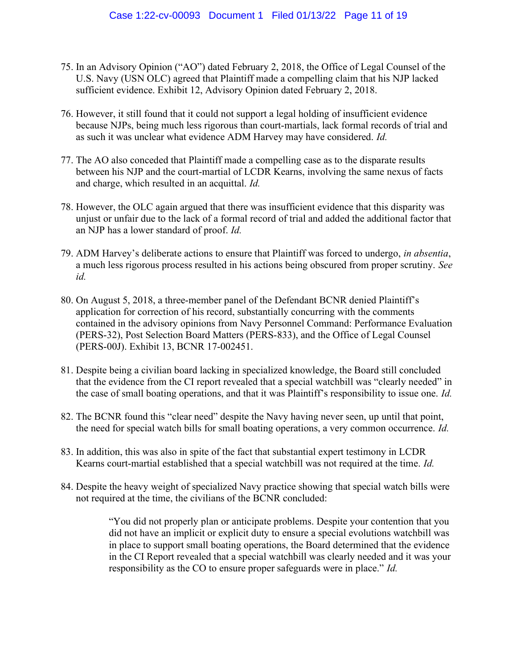- 75. In an Advisory Opinion ("AO") dated February 2, 2018, the Office of Legal Counsel of the U.S. Navy (USN OLC) agreed that Plaintiff made a compelling claim that his NJP lacked sufficient evidence. Exhibit 12, Advisory Opinion dated February 2, 2018.
- 76. However, it still found that it could not support a legal holding of insufficient evidence because NJPs, being much less rigorous than court-martials, lack formal records of trial and as such it was unclear what evidence ADM Harvey may have considered. Id.
- 77. The AO also conceded that Plaintiff made a compelling case as to the disparate results between his NJP and the court-martial of LCDR Kearns, involving the same nexus of facts and charge, which resulted in an acquittal. Id.
- 78. However, the OLC again argued that there was insufficient evidence that this disparity was unjust or unfair due to the lack of a formal record of trial and added the additional factor that an NJP has a lower standard of proof. Id.
- 79. ADM Harvey's deliberate actions to ensure that Plaintiff was forced to undergo, in absentia, a much less rigorous process resulted in his actions being obscured from proper scrutiny. See id.
- 80. On August 5, 2018, a three-member panel of the Defendant BCNR denied Plaintiff's application for correction of his record, substantially concurring with the comments contained in the advisory opinions from Navy Personnel Command: Performance Evaluation (PERS-32), Post Selection Board Matters (PERS-833), and the Office of Legal Counsel (PERS-00J). Exhibit 13, BCNR 17-002451.
- 81. Despite being a civilian board lacking in specialized knowledge, the Board still concluded that the evidence from the CI report revealed that a special watchbill was "clearly needed" in the case of small boating operations, and that it was Plaintiff's responsibility to issue one. Id.
- 82. The BCNR found this "clear need" despite the Navy having never seen, up until that point, the need for special watch bills for small boating operations, a very common occurrence. Id.
- 83. In addition, this was also in spite of the fact that substantial expert testimony in LCDR Kearns court-martial established that a special watchbill was not required at the time. Id.
- 84. Despite the heavy weight of specialized Navy practice showing that special watch bills were not required at the time, the civilians of the BCNR concluded:

"You did not properly plan or anticipate problems. Despite your contention that you did not have an implicit or explicit duty to ensure a special evolutions watchbill was in place to support small boating operations, the Board determined that the evidence in the CI Report revealed that a special watchbill was clearly needed and it was your responsibility as the CO to ensure proper safeguards were in place." Id.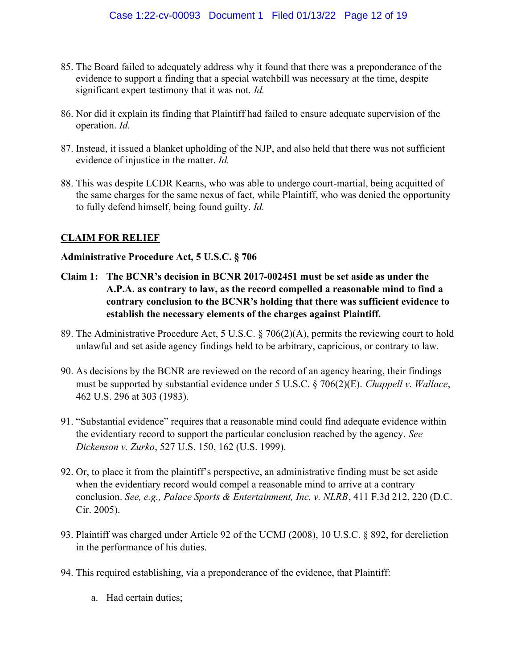- 85. The Board failed to adequately address why it found that there was a preponderance of the evidence to support a finding that a special watchbill was necessary at the time, despite significant expert testimony that it was not. Id.
- 86. Nor did it explain its finding that Plaintiff had failed to ensure adequate supervision of the operation. Id.
- 87. Instead, it issued a blanket upholding of the NJP, and also held that there was not sufficient evidence of injustice in the matter. Id.
- 88. This was despite LCDR Kearns, who was able to undergo court-martial, being acquitted of the same charges for the same nexus of fact, while Plaintiff, who was denied the opportunity to fully defend himself, being found guilty. Id.

### CLAIM FOR RELIEF

#### Administrative Procedure Act, 5 U.S.C. § 706

- Claim 1: The BCNR's decision in BCNR 2017-002451 must be set aside as under the A.P.A. as contrary to law, as the record compelled a reasonable mind to find a contrary conclusion to the BCNR's holding that there was sufficient evidence to establish the necessary elements of the charges against Plaintiff.
- 89. The Administrative Procedure Act, 5 U.S.C. § 706(2)(A), permits the reviewing court to hold unlawful and set aside agency findings held to be arbitrary, capricious, or contrary to law.
- 90. As decisions by the BCNR are reviewed on the record of an agency hearing, their findings must be supported by substantial evidence under 5 U.S.C. § 706(2)(E). Chappell v. Wallace, 462 U.S. 296 at 303 (1983).
- 91. "Substantial evidence" requires that a reasonable mind could find adequate evidence within the evidentiary record to support the particular conclusion reached by the agency. See Dickenson v. Zurko, 527 U.S. 150, 162 (U.S. 1999).
- 92. Or, to place it from the plaintiff's perspective, an administrative finding must be set aside when the evidentiary record would compel a reasonable mind to arrive at a contrary conclusion. See, e.g., Palace Sports & Entertainment, Inc. v. NLRB, 411 F.3d 212, 220 (D.C. Cir. 2005).
- 93. Plaintiff was charged under Article 92 of the UCMJ (2008), 10 U.S.C. § 892, for dereliction in the performance of his duties.
- 94. This required establishing, via a preponderance of the evidence, that Plaintiff:
	- a. Had certain duties;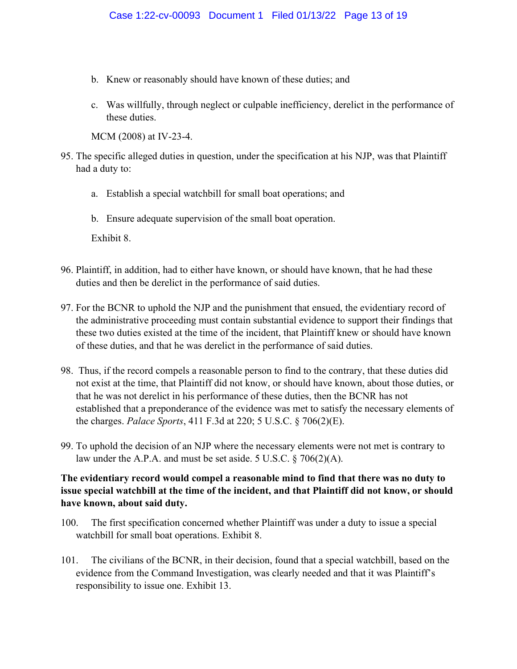- b. Knew or reasonably should have known of these duties; and
- c. Was willfully, through neglect or culpable inefficiency, derelict in the performance of these duties.

MCM (2008) at IV-23-4.

- 95. The specific alleged duties in question, under the specification at his NJP, was that Plaintiff had a duty to:
	- a. Establish a special watchbill for small boat operations; and
	- b. Ensure adequate supervision of the small boat operation.

Exhibit 8.

- 96. Plaintiff, in addition, had to either have known, or should have known, that he had these duties and then be derelict in the performance of said duties.
- 97. For the BCNR to uphold the NJP and the punishment that ensued, the evidentiary record of the administrative proceeding must contain substantial evidence to support their findings that these two duties existed at the time of the incident, that Plaintiff knew or should have known of these duties, and that he was derelict in the performance of said duties.
- 98. Thus, if the record compels a reasonable person to find to the contrary, that these duties did not exist at the time, that Plaintiff did not know, or should have known, about those duties, or that he was not derelict in his performance of these duties, then the BCNR has not established that a preponderance of the evidence was met to satisfy the necessary elements of the charges. Palace Sports, 411 F.3d at 220; 5 U.S.C. § 706(2)(E).
- 99. To uphold the decision of an NJP where the necessary elements were not met is contrary to law under the A.P.A. and must be set aside. 5 U.S.C. § 706(2)(A).

## The evidentiary record would compel a reasonable mind to find that there was no duty to issue special watchbill at the time of the incident, and that Plaintiff did not know, or should have known, about said duty.

- 100. The first specification concerned whether Plaintiff was under a duty to issue a special watchbill for small boat operations. Exhibit 8.
- 101. The civilians of the BCNR, in their decision, found that a special watchbill, based on the evidence from the Command Investigation, was clearly needed and that it was Plaintiff's responsibility to issue one. Exhibit 13.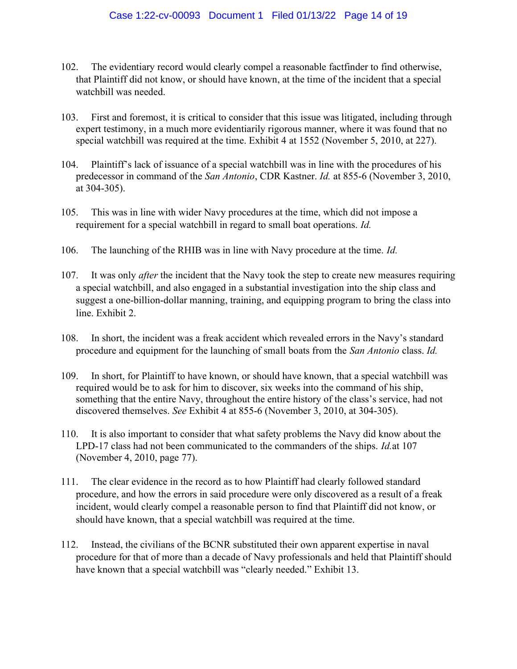- 102. The evidentiary record would clearly compel a reasonable factfinder to find otherwise, that Plaintiff did not know, or should have known, at the time of the incident that a special watchbill was needed.
- 103. First and foremost, it is critical to consider that this issue was litigated, including through expert testimony, in a much more evidentiarily rigorous manner, where it was found that no special watchbill was required at the time. Exhibit 4 at 1552 (November 5, 2010, at 227).
- 104. Plaintiff's lack of issuance of a special watchbill was in line with the procedures of his predecessor in command of the San Antonio, CDR Kastner. Id. at 855-6 (November 3, 2010, at 304-305).
- 105. This was in line with wider Navy procedures at the time, which did not impose a requirement for a special watchbill in regard to small boat operations. Id.
- 106. The launching of the RHIB was in line with Navy procedure at the time. *Id.*
- 107. It was only *after* the incident that the Navy took the step to create new measures requiring a special watchbill, and also engaged in a substantial investigation into the ship class and suggest a one-billion-dollar manning, training, and equipping program to bring the class into line. Exhibit 2.
- 108. In short, the incident was a freak accident which revealed errors in the Navy's standard procedure and equipment for the launching of small boats from the San Antonio class. Id.
- 109. In short, for Plaintiff to have known, or should have known, that a special watchbill was required would be to ask for him to discover, six weeks into the command of his ship, something that the entire Navy, throughout the entire history of the class's service, had not discovered themselves. See Exhibit 4 at 855-6 (November 3, 2010, at 304-305).
- 110. It is also important to consider that what safety problems the Navy did know about the LPD-17 class had not been communicated to the commanders of the ships. Id.at 107 (November 4, 2010, page 77).
- 111. The clear evidence in the record as to how Plaintiff had clearly followed standard procedure, and how the errors in said procedure were only discovered as a result of a freak incident, would clearly compel a reasonable person to find that Plaintiff did not know, or should have known, that a special watchbill was required at the time.
- 112. Instead, the civilians of the BCNR substituted their own apparent expertise in naval procedure for that of more than a decade of Navy professionals and held that Plaintiff should have known that a special watchbill was "clearly needed." Exhibit 13.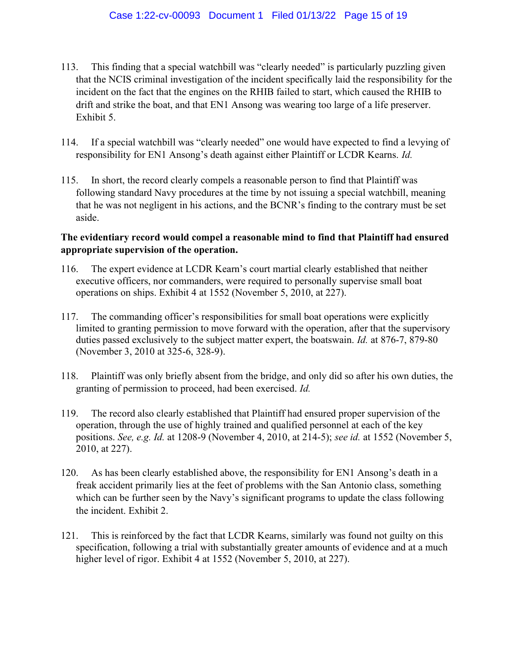- 113. This finding that a special watchbill was "clearly needed" is particularly puzzling given that the NCIS criminal investigation of the incident specifically laid the responsibility for the incident on the fact that the engines on the RHIB failed to start, which caused the RHIB to drift and strike the boat, and that EN1 Ansong was wearing too large of a life preserver. Exhibit 5.
- 114. If a special watchbill was "clearly needed" one would have expected to find a levying of responsibility for EN1 Ansong's death against either Plaintiff or LCDR Kearns. Id.
- 115. In short, the record clearly compels a reasonable person to find that Plaintiff was following standard Navy procedures at the time by not issuing a special watchbill, meaning that he was not negligent in his actions, and the BCNR's finding to the contrary must be set aside.

### The evidentiary record would compel a reasonable mind to find that Plaintiff had ensured appropriate supervision of the operation.

- 116. The expert evidence at LCDR Kearn's court martial clearly established that neither executive officers, nor commanders, were required to personally supervise small boat operations on ships. Exhibit 4 at 1552 (November 5, 2010, at 227).
- 117. The commanding officer's responsibilities for small boat operations were explicitly limited to granting permission to move forward with the operation, after that the supervisory duties passed exclusively to the subject matter expert, the boatswain. *Id.* at 876-7, 879-80 (November 3, 2010 at 325-6, 328-9).
- 118. Plaintiff was only briefly absent from the bridge, and only did so after his own duties, the granting of permission to proceed, had been exercised. Id.
- 119. The record also clearly established that Plaintiff had ensured proper supervision of the operation, through the use of highly trained and qualified personnel at each of the key positions. See, e.g. Id. at 1208-9 (November 4, 2010, at 214-5); see id. at 1552 (November 5, 2010, at 227).
- 120. As has been clearly established above, the responsibility for EN1 Ansong's death in a freak accident primarily lies at the feet of problems with the San Antonio class, something which can be further seen by the Navy's significant programs to update the class following the incident. Exhibit 2.
- 121. This is reinforced by the fact that LCDR Kearns, similarly was found not guilty on this specification, following a trial with substantially greater amounts of evidence and at a much higher level of rigor. Exhibit 4 at 1552 (November 5, 2010, at 227).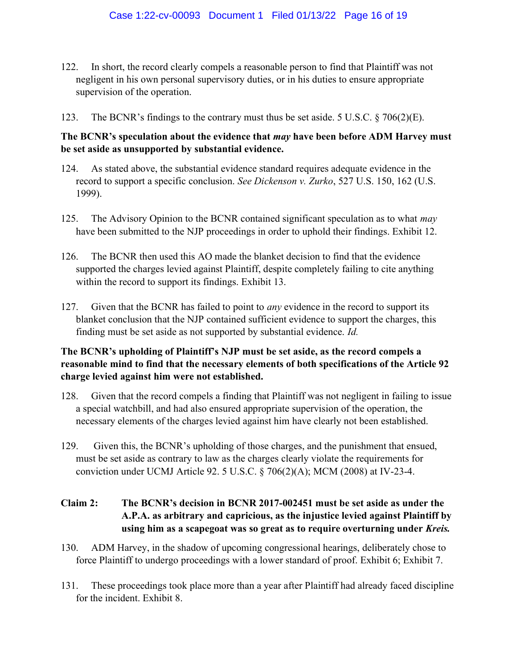- 122. In short, the record clearly compels a reasonable person to find that Plaintiff was not negligent in his own personal supervisory duties, or in his duties to ensure appropriate supervision of the operation.
- 123. The BCNR's findings to the contrary must thus be set aside. 5 U.S.C. § 706(2)(E).

### The BCNR's speculation about the evidence that *may* have been before ADM Harvey must be set aside as unsupported by substantial evidence.

- 124. As stated above, the substantial evidence standard requires adequate evidence in the record to support a specific conclusion. See Dickenson v. Zurko, 527 U.S. 150, 162 (U.S. 1999).
- 125. The Advisory Opinion to the BCNR contained significant speculation as to what may have been submitted to the NJP proceedings in order to uphold their findings. Exhibit 12.
- 126. The BCNR then used this AO made the blanket decision to find that the evidence supported the charges levied against Plaintiff, despite completely failing to cite anything within the record to support its findings. Exhibit 13.
- 127. Given that the BCNR has failed to point to *any* evidence in the record to support its blanket conclusion that the NJP contained sufficient evidence to support the charges, this finding must be set aside as not supported by substantial evidence. Id.

# The BCNR's upholding of Plaintiff's NJP must be set aside, as the record compels a reasonable mind to find that the necessary elements of both specifications of the Article 92 charge levied against him were not established.

- 128. Given that the record compels a finding that Plaintiff was not negligent in failing to issue a special watchbill, and had also ensured appropriate supervision of the operation, the necessary elements of the charges levied against him have clearly not been established.
- 129. Given this, the BCNR's upholding of those charges, and the punishment that ensued, must be set aside as contrary to law as the charges clearly violate the requirements for conviction under UCMJ Article 92. 5 U.S.C. § 706(2)(A); MCM (2008) at IV-23-4.

# Claim 2: The BCNR's decision in BCNR 2017-002451 must be set aside as under the A.P.A. as arbitrary and capricious, as the injustice levied against Plaintiff by using him as a scapegoat was so great as to require overturning under Kreis.

- 130. ADM Harvey, in the shadow of upcoming congressional hearings, deliberately chose to force Plaintiff to undergo proceedings with a lower standard of proof. Exhibit 6; Exhibit 7.
- 131. These proceedings took place more than a year after Plaintiff had already faced discipline for the incident. Exhibit 8.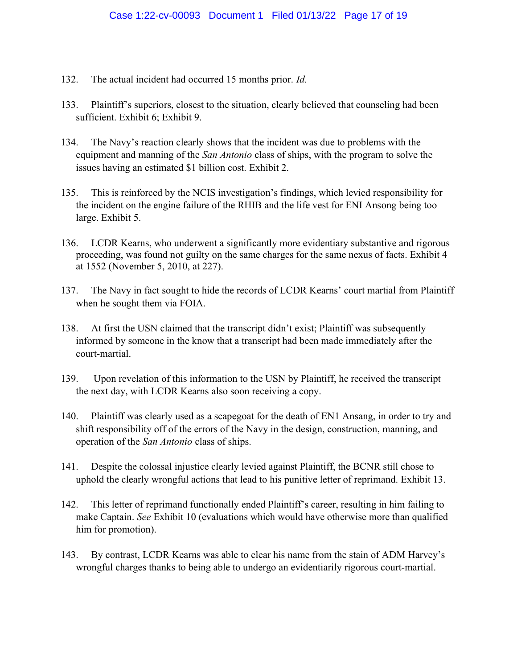- 132. The actual incident had occurred 15 months prior. Id.
- 133. Plaintiff's superiors, closest to the situation, clearly believed that counseling had been sufficient. Exhibit 6; Exhibit 9.
- 134. The Navy's reaction clearly shows that the incident was due to problems with the equipment and manning of the San Antonio class of ships, with the program to solve the issues having an estimated \$1 billion cost. Exhibit 2.
- 135. This is reinforced by the NCIS investigation's findings, which levied responsibility for the incident on the engine failure of the RHIB and the life vest for ENI Ansong being too large. Exhibit 5.
- 136. LCDR Kearns, who underwent a significantly more evidentiary substantive and rigorous proceeding, was found not guilty on the same charges for the same nexus of facts. Exhibit 4 at 1552 (November 5, 2010, at 227).
- 137. The Navy in fact sought to hide the records of LCDR Kearns' court martial from Plaintiff when he sought them via FOIA.
- 138. At first the USN claimed that the transcript didn't exist; Plaintiff was subsequently informed by someone in the know that a transcript had been made immediately after the court-martial.
- 139. Upon revelation of this information to the USN by Plaintiff, he received the transcript the next day, with LCDR Kearns also soon receiving a copy.
- 140. Plaintiff was clearly used as a scapegoat for the death of EN1 Ansang, in order to try and shift responsibility off of the errors of the Navy in the design, construction, manning, and operation of the San Antonio class of ships.
- 141. Despite the colossal injustice clearly levied against Plaintiff, the BCNR still chose to uphold the clearly wrongful actions that lead to his punitive letter of reprimand. Exhibit 13.
- 142. This letter of reprimand functionally ended Plaintiff's career, resulting in him failing to make Captain. See Exhibit 10 (evaluations which would have otherwise more than qualified him for promotion).
- 143. By contrast, LCDR Kearns was able to clear his name from the stain of ADM Harvey's wrongful charges thanks to being able to undergo an evidentiarily rigorous court-martial.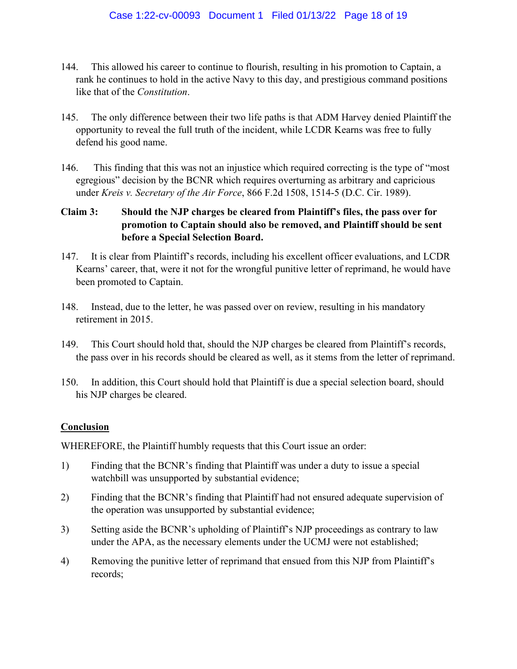- 144. This allowed his career to continue to flourish, resulting in his promotion to Captain, a rank he continues to hold in the active Navy to this day, and prestigious command positions like that of the Constitution.
- 145. The only difference between their two life paths is that ADM Harvey denied Plaintiff the opportunity to reveal the full truth of the incident, while LCDR Kearns was free to fully defend his good name.
- 146. This finding that this was not an injustice which required correcting is the type of "most egregious" decision by the BCNR which requires overturning as arbitrary and capricious under Kreis v. Secretary of the Air Force, 866 F.2d 1508, 1514-5 (D.C. Cir. 1989).

# Claim 3: Should the NJP charges be cleared from Plaintiff's files, the pass over for promotion to Captain should also be removed, and Plaintiff should be sent before a Special Selection Board.

- 147. It is clear from Plaintiff's records, including his excellent officer evaluations, and LCDR Kearns' career, that, were it not for the wrongful punitive letter of reprimand, he would have been promoted to Captain.
- 148. Instead, due to the letter, he was passed over on review, resulting in his mandatory retirement in 2015.
- 149. This Court should hold that, should the NJP charges be cleared from Plaintiff's records, the pass over in his records should be cleared as well, as it stems from the letter of reprimand.
- 150. In addition, this Court should hold that Plaintiff is due a special selection board, should his NJP charges be cleared.

### **Conclusion**

WHEREFORE, the Plaintiff humbly requests that this Court issue an order:

- 1) Finding that the BCNR's finding that Plaintiff was under a duty to issue a special watchbill was unsupported by substantial evidence;
- 2) Finding that the BCNR's finding that Plaintiff had not ensured adequate supervision of the operation was unsupported by substantial evidence;
- 3) Setting aside the BCNR's upholding of Plaintiff's NJP proceedings as contrary to law under the APA, as the necessary elements under the UCMJ were not established;
- 4) Removing the punitive letter of reprimand that ensued from this NJP from Plaintiff's records;